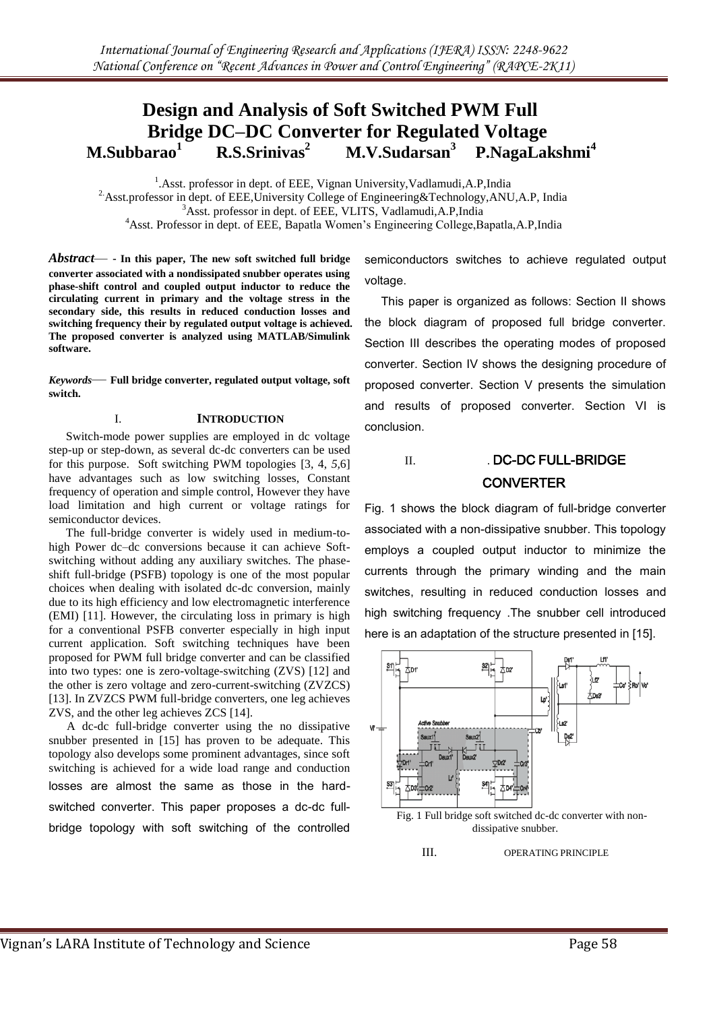#### **Design and Analysis of Soft Switched PWM Full Bridge DC–DC Converter for Regulated Voltage M.Subbarao<sup>1</sup> R.S.Srinivas<sup>2</sup> M.V.Sudarsan<sup>3</sup> P.NagaLakshmi<sup>4</sup>**

<sup>1</sup>.Asst. professor in dept. of EEE, Vignan University, Vadlamudi, A.P, India <sup>2</sup> Asst.professor in dept. of EEE, University College of Engineering&Technology, ANU, A.P., India <sup>3</sup>Asst. professor in dept. of EEE, VLITS, Vadlamudi, A.P, India <sup>4</sup>Asst. Professor in dept. of EEE, Bapatla Women's Engineering College,Bapatla,A.P,India

*Abstract*— - **In this paper, The new soft switched full bridge converter associated with a nondissipated snubber operates using phase-shift control and coupled output inductor to reduce the circulating current in primary and the voltage stress in the secondary side, this results in reduced conduction losses and switching frequency their by regulated output voltage is achieved. The proposed converter is analyzed using MATLAB/Simulink software.**

*Keywords*— **Full bridge converter, regulated output voltage, soft switch.**

## I. **INTRODUCTION**

Switch-mode power supplies are employed in dc voltage step-up or step-down, as several dc-dc converters can be used for this purpose. Soft switching PWM topologies [3, 4, *5,*6] have advantages such as low switching losses, Constant frequency of operation and simple control, However they have load limitation and high current or voltage ratings for semiconductor devices.

The full-bridge converter is widely used in medium-tohigh Power dc–dc conversions because it can achieve Softswitching without adding any auxiliary switches. The phaseshift full-bridge (PSFB) topology is one of the most popular choices when dealing with isolated dc-dc conversion, mainly due to its high efficiency and low electromagnetic interference (EMI) [11]. However, the circulating loss in primary is high for a conventional PSFB converter especially in high input current application. Soft switching techniques have been proposed for PWM full bridge converter and can be classified into two types: one is zero-voltage-switching (ZVS) [12] and the other is zero voltage and zero-current-switching (ZVZCS) [13]. In ZVZCS PWM full-bridge converters, one leg achieves ZVS, and the other leg achieves ZCS [14].

 A dc-dc full-bridge converter using the no dissipative snubber presented in [15] has proven to be adequate. This topology also develops some prominent advantages, since soft switching is achieved for a wide load range and conduction losses are almost the same as those in the hardswitched converter. This paper proposes a dc-dc fullbridge topology with soft switching of the controlled semiconductors switches to achieve regulated output voltage.

 This paper is organized as follows: Section II shows the block diagram of proposed full bridge converter. Section III describes the operating modes of proposed converter. Section IV shows the designing procedure of proposed converter. Section V presents the simulation and results of proposed converter. Section VI is conclusion.

# II. DC-DC FULL-BRIDGE **CONVERTER**

Fig. 1 shows the block diagram of full-bridge converter associated with a non-dissipative snubber. This topology employs a coupled output inductor to minimize the currents through the primary winding and the main switches, resulting in reduced conduction losses and high switching frequency .The snubber cell introduced here is an adaptation of the structure presented in [15].



III. OPERATING PRINCIPLE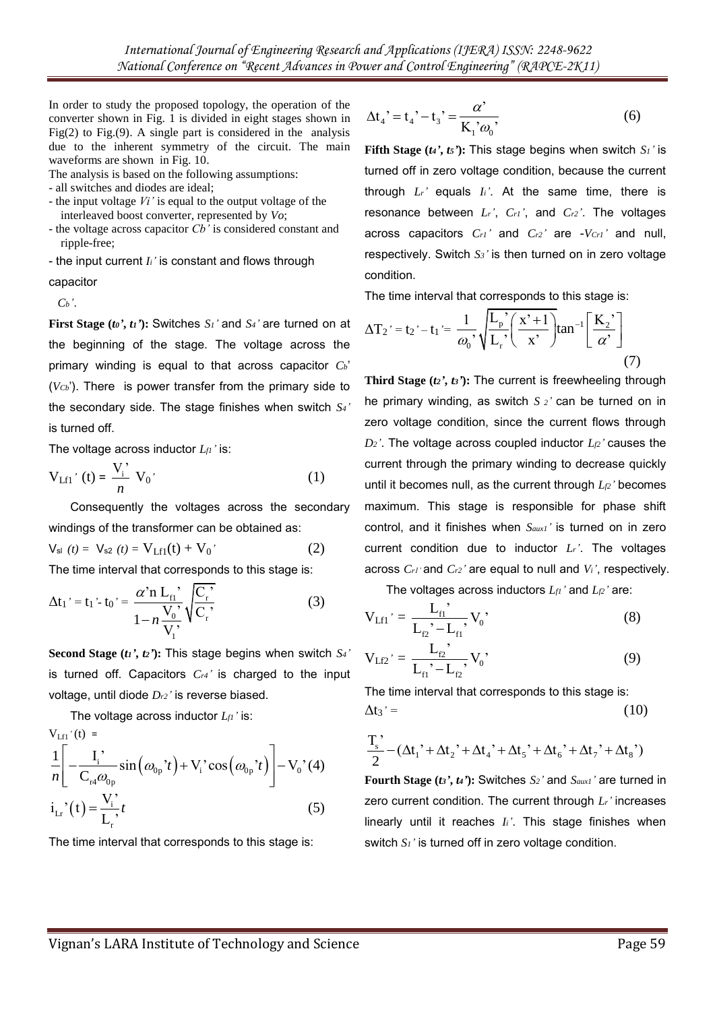In order to study the proposed topology, the operation of the converter shown in Fig. 1 is divided in eight stages shown in Fig(2) to Fig.(9). A single part is considered in the analysis due to the inherent symmetry of the circuit. The main waveforms are shown in Fig. 10.

The analysis is based on the following assumptions:

- all switches and diodes are ideal;
- the input voltage *Vi'* is equal to the output voltage of the interleaved boost converter, represented by *Vo*;
- the voltage across capacitor *Cb'* is considered constant and ripple-free;

- the input current *Ii'* is constant and flows through capacitor

 $C_b$ <sup>'</sup>.

**First Stage (***to***<sup>2</sup>,** *ti***<sup>2</sup>): Switches** *S<sub>1</sub>***<sup>2</sup> and** *S<sub>4</sub>***<sup>2</sup> are turned on at** the beginning of the stage. The voltage across the primary winding is equal to that across capacitor *Cb*' (*VCb*'). There is power transfer from the primary side to the secondary side. The stage finishes when switch *S4'*  is turned off.

The voltage across inductor *Lf1'* is:

$$
V_{Lf1}'(t) = \frac{V_i'}{n} V_0'
$$
 (1)

Consequently the voltages across the secondary windings of the transformer can be obtained as:

$$
V_{\rm sl} (t) = V_{\rm s2} (t) = V_{\rm Lfl}(t) + V_0' \tag{2}
$$

The time interval that corresponds to this stage is:

$$
\Delta t_1' = t_1' \cdot t_0' = \frac{\alpha' n L_{\rm fl}}{1 - n \frac{V_0'}{V_1'}} \sqrt{\frac{C_{\rm r}'}{C_{\rm r}}}
$$
(3)

**Second Stage (***t1'***,** *t2'***):** This stage begins when switch *S4'*  is turned off. Capacitors *Cr4'* is charged to the input voltage, until diode *Dr2'* is reverse biased.

The voltage across inductor *Lf1'* is:

$$
V_{\text{Lf1}}'(t) = \frac{1}{n} \left[ -\frac{I_i}{C_{\text{r4}} \omega_{0p}} \sin(\omega_{0p}^2 t) + V_i^2 \cos(\omega_{0p}^2 t) \right] - V_0^2(4)
$$
  
\n
$$
i_{\text{L}r}^2(t) = \frac{V_i^2}{L_r} t
$$
 (5)

The time interval that corresponds to this stage is:

$$
\Delta t_4' = t_4' - t_3' = \frac{\alpha'}{K_1' \omega_0'},
$$
 (6)

**Fifth Stage (** $t$ *4***<sup>** $\prime$ **</sup>,**  $t$ *s***<sup>** $\prime$ **</sup>): This stage begins when switch** *S***<sup>** $\prime$ **</sup> is** turned off in zero voltage condition, because the current through  $L_r$ <sup> $\prime$ </sup> equals  $I_i$ <sup> $\prime$ </sup>. At the same time, there is resonance between *Lr'*, *Cr1'*, and *Cr2'*. The voltages across capacitors *Cr1'* and *Cr2'* are -*VCr1'* and null, respectively. Switch *S3'* is then turned on in zero voltage condition.

The time interval that corresponds to this stage is:

$$
\Delta T_2' = t_2' - t_1' = \frac{1}{\omega_0}, \sqrt{\frac{L_p}{L_r'}(\frac{x' + 1}{x'})} \tan^{-1}(\frac{K_2}{\alpha'})
$$
(7)

**Third Stage (***t2'***,** *t3'***):** The current is freewheeling through he primary winding, as switch *S 2'* can be turned on in zero voltage condition, since the current flows through  $D_2$ <sup>'</sup>. The voltage across coupled inductor  $L_2$ <sup> $\prime$ </sup> causes the current through the primary winding to decrease quickly until it becomes null, as the current through *Lf2'* becomes maximum. This stage is responsible for phase shift control, and it finishes when *Saux1'* is turned on in zero current condition due to inductor *Lr'*. The voltages across *Cr1'* and *Cr2'* are equal to null and *Vi'*, respectively.

The voltages across inductors *Lf1'* and *Lf2'* are:

$$
V_{Lfl'} = \frac{L_{fl}}{L_{r2} - L_{fl}}, V_0' \tag{8}
$$

$$
V_{Lf2} = \frac{L_{r2}}{L_{f1} - L_{r2}} V_0,
$$
\n(9)

The time interval that corresponds to this stage is:  $\Delta t_3' =$  (10)

$$
\Delta t_3' = (10)
$$
  

$$
\frac{T_s'}{2} - (\Delta t_1' + \Delta t_2' + \Delta t_4' + \Delta t_5' + \Delta t_6' + \Delta t_7' + \Delta t_8')
$$

**Fourth Stage (***t3'***,** *t4'***):** Switches *S2'* and *Saux1'* are turned in zero current condition. The current through *Lr'* increases linearly until it reaches *Ii'*. This stage finishes when switch *S1'* is turned off in zero voltage condition.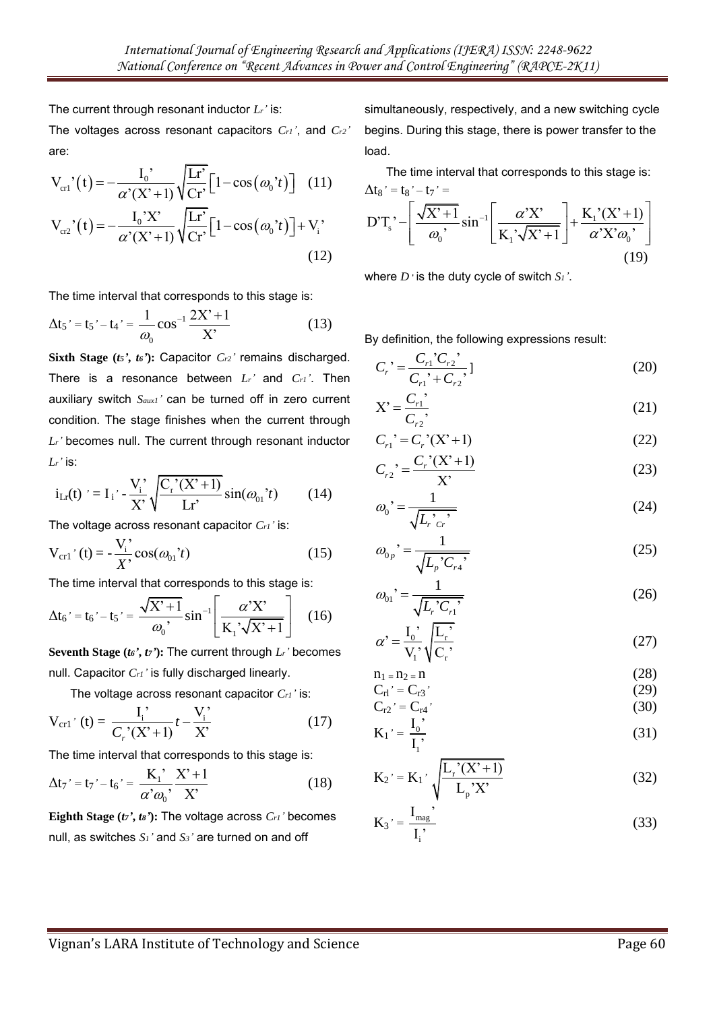The current through resonant inductor *Lr'* is:

The voltages across resonant capacitors *Cr1'*, and *Cr2'*  are:

are:  
\n
$$
V_{\text{cr}1}'(t) = -\frac{I_0'}{\alpha'(X' + 1)} \sqrt{\frac{Lr'}{Cr'}} \Big[ 1 - \cos(\omega_0' t) \Big] \quad (11)
$$
\n
$$
V_{\text{cr}2}'(t) = -\frac{I_0'X'}{\alpha'(X' + 1)} \sqrt{\frac{Lr'}{Cr'}} \Big[ 1 - \cos(\omega_0' t) \Big] + V_i' \quad (12)
$$

The time interval that corresponds to this stage is:

$$
\Delta t_5' = t_5' - t_4' = \frac{1}{\omega_0} \cos^{-1} \frac{2X' + 1}{X'} \tag{13}
$$

**Sixth Stage (***t5'***,** *t6'***):** Capacitor *Cr2'* remains discharged. There is a resonance between *Lr'* and *Cr1'*. Then auxiliary switch *Saux1'* can be turned off in zero current condition. The stage finishes when the current through *Lr'* becomes null. The current through resonant inductor *Lr'* is:

$$
i_{Lr}(t) = I_i' - \frac{V_i'}{X'} \sqrt{\frac{C_r'(X' + 1)}{Lr'}} \sin(\omega_{01}'t)
$$
 (14)

The voltage across resonant capacitor *Cr1'* is:

$$
V_{\rm cr1'}(t) = -\frac{V_i'}{X'}\cos(\omega_{01}t)
$$
 (15)

The time interval that corresponds to this stage is:

$$
\Delta t_6' = t_6' - t_5' = \frac{\sqrt{X' + 1}}{\omega_0'}, \sin^{-1} \left[ \frac{\alpha' X'}{K_1' \sqrt{X' + 1}} \right] \quad (16)
$$

**Seventh Stage (***t6'***,** *t7'***):** The current through *Lr'* becomes null. Capacitor *Cr1'* is fully discharged linearly.

The voltage across resonant capacitor *Cr1'* is:

$$
V_{\rm cr1'}(t) = \frac{I_i'}{C_r'(X'+1)}t - \frac{V_i'}{X'}
$$
 (17)

The time interval that corresponds to this stage is:

$$
\Delta t_7' = t_7' - t_6' = \frac{K_1'}{\alpha' \omega_0'} \frac{X' + 1}{X'} \tag{18}
$$

**Eighth Stage (***t7'***,** *t8'***):** The voltage across *Cr1'* becomes null, as switches *S1'* and *S3'* are turned on and off

simultaneously, respectively, and a new switching cycle begins. During this stage, there is power transfer to the load.

The time interval that corresponds to this stage is:  $\Delta t_8$ ' =  $t_8$ ' –  $t_7$ ' =  $x^2 - t_7' =$ <br> $\left[ \frac{\sqrt{X^2 + 1}}{\sin^{-1}} \left[ \frac{\alpha' X^2}{\alpha' X^2} \right] + \frac{K_1' (X^2 + 1)}{\alpha' X^2} \right]$ 

$$
\Delta t_8' = t_8' - t_7' =
$$
  
D'T<sub>s</sub>' -  $\left[ \frac{\sqrt{X' + 1}}{\omega_0}, \sin^{-1} \left[ \frac{\alpha' X'}{K_1 \sqrt{X' + 1}} \right] + \frac{K_1'(X' + 1)}{\alpha' X' \omega_0'} \right]$  (19)

where *D* ' is the duty cycle of switch *S1'*.

By definition, the following expressions result:

$$
C_r' = \frac{C_{r1}'C_{r2}'}{C_{r1}'+C_{r2}},
$$
\n(20)

$$
X' = \frac{C_{r1}}{C_{r2}},\tag{21}
$$

$$
C_{r2}
$$
  
\n
$$
C_{r1}^2 = C_r^2(X^2 + 1)
$$
\n(22)

$$
C_{r2}^{\prime} = \frac{C_r^{\prime}(X^2 + 1)}{X^2} \tag{23}
$$

$$
\omega_0 = \frac{1}{\sqrt{L_r \, c_r}}\tag{24}
$$

$$
\omega_{0p} = \frac{1}{\sqrt{L_p C_{r4}}} \tag{25}
$$

$$
\omega_{01} = \frac{1}{\sqrt{L_r C_{r1}}} \tag{26}
$$

$$
\alpha' = \frac{I_0'}{V_1'} \sqrt{\frac{L_r'}{C_r'}}
$$
\n(27)

$$
n_1 = n_2 = n \tag{28}
$$
\n
$$
C_{n-1} = C_{n-1} \tag{29}
$$

$$
C_{r1}' = C_{r3}'
$$
\n
$$
C_{r2}' = C_{r4}'
$$
\n(29)\n(30)

$$
K_1' = \frac{I_0'}{I_1'},
$$
\n(31)

$$
K_2' = K_1' \sqrt{\frac{L_r'(X'+1)}{L_p'X'}} \tag{32}
$$

$$
K_3' = \frac{I_{mag}}{I_i'}
$$
 (33)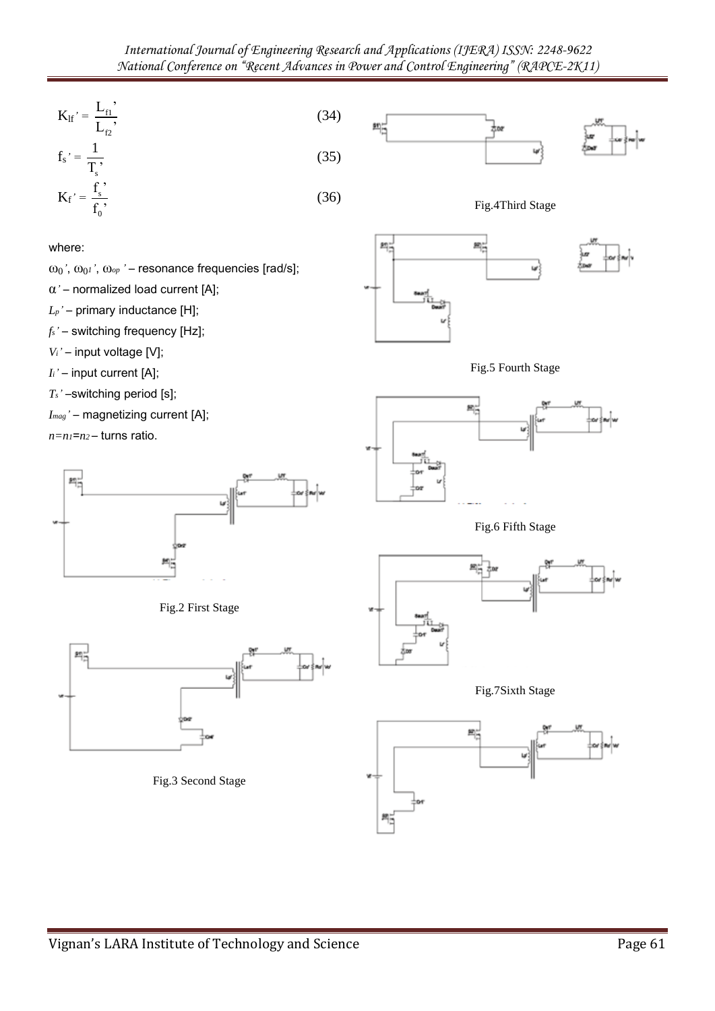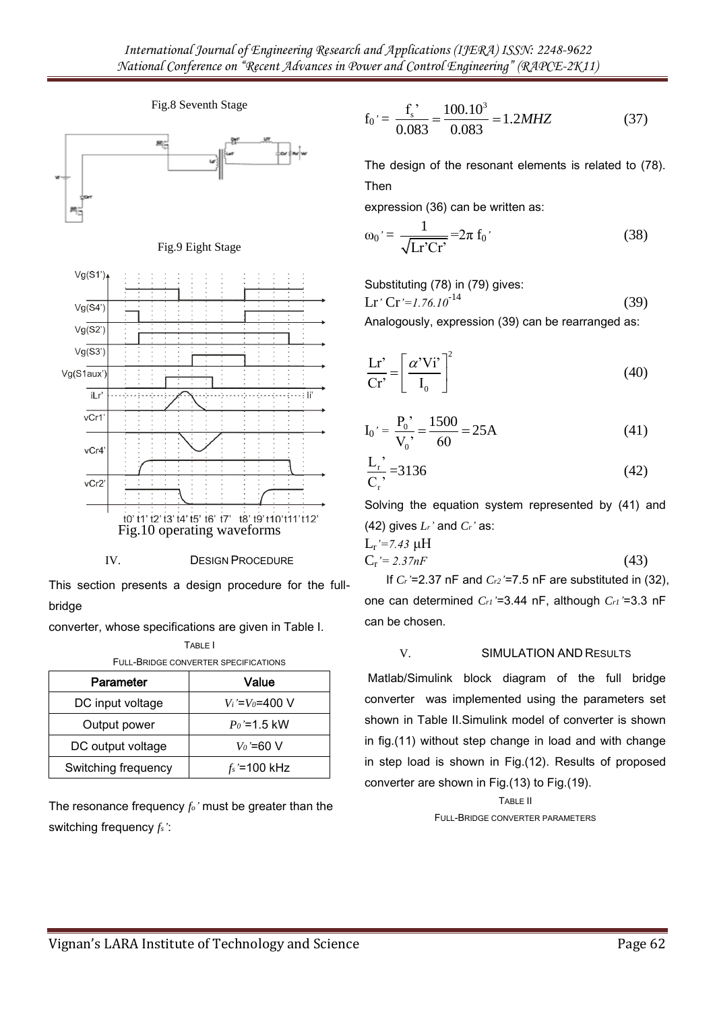

Fig.8 Seventh Stage

IV. DESIGN PROCEDURE

This section presents a design procedure for the fullbridge

TABLE I

converter, whose specifications are given in Table I.

| Parameter           | Value               |
|---------------------|---------------------|
| DC input voltage    | $V_i = V_0 = 400$ V |
| Output power        | $P_0 = 1.5$ kW      |
| DC output voltage   | $V_0$ '=60 V        |
| Switching frequency | $f_s$ '=100 kHz     |

The resonance frequency *fo'* must be greater than the switching frequency *fs'*:

$$
f_0' = \frac{f_s'}{0.083} = \frac{100.10^3}{0.083} = 1.2 MHz
$$
 (37)

The design of the resonant elements is related to (78). Then

expression (36) can be written as:

$$
\omega_0' = \frac{1}{\sqrt{\text{Lr}^2\text{Cr}^2}} = 2\pi \text{ f}_0' \tag{38}
$$

Substituting (78) in (79) gives:

$$
Lr' Cr'=1.76.10^{-14}
$$
 (39)

Analogously, expression (39) can be rearranged as:

$$
\frac{\mathbf{L}\mathbf{r}'}{\mathbf{C}\mathbf{r}'} = \left[\frac{\alpha' V \mathbf{i}'}{\mathbf{I}_0}\right]^2\tag{40}
$$

$$
I_0' = \frac{P_0'}{V_0'} = \frac{1500}{60} = 25A
$$
 (41)

$$
\frac{L_{r}^{'} }{C_{r}^{'} } = 3136 \tag{42}
$$

Solving the equation system represented by (41) and (42) gives *Lr'* and *Cr'* as:

$$
L_r' = 7.43 \mu H
$$
  
\n
$$
C_r' = 2.37nF
$$
\n(43)

If *Cr'*=2.37 nF and *Cr2'*=7.5 nF are substituted in (32), one can determined *Cr1'*=3.44 nF, although *Cr1'*=3.3 nF can be chosen.

# V. SIMULATION AND RESULTS

Matlab/Simulink block diagram of the full bridge converter was implemented using the parameters set shown in Table II.Simulink model of converter is shown in fig.(11) without step change in load and with change in step load is shown in Fig.(12). Results of proposed converter are shown in Fig.(13) to Fig.(19).

> TABLE II FULL-BRIDGE CONVERTER PARAMETERS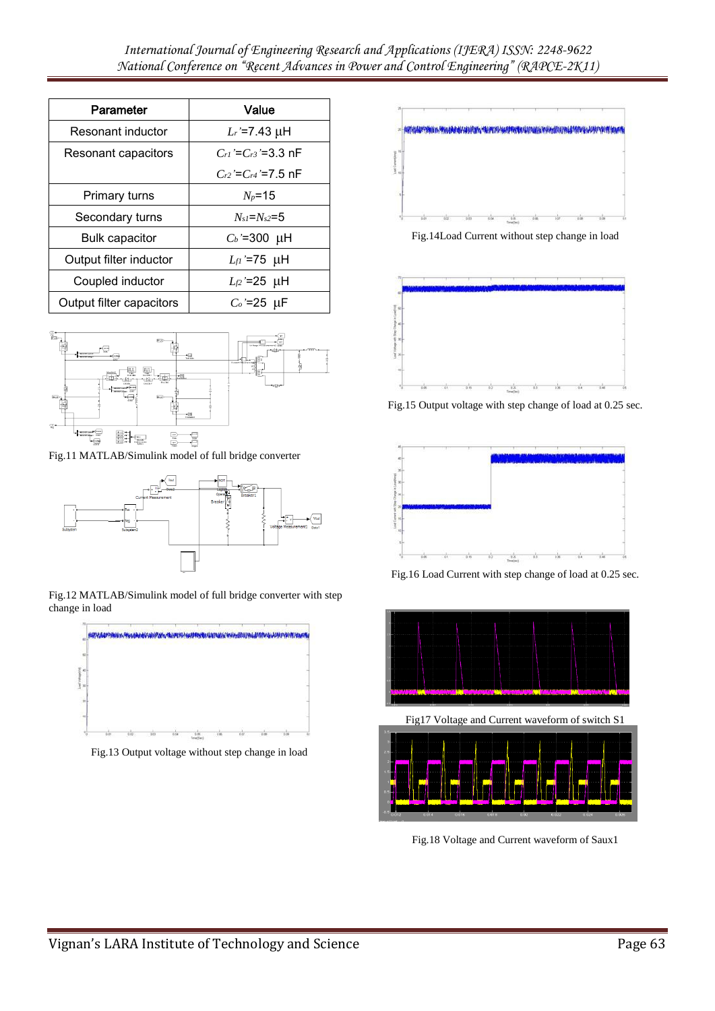| Parameter                | Value                      |
|--------------------------|----------------------------|
| Resonant inductor        | $L_r = 7.43 \mu H$         |
| Resonant capacitors      | $C_{r1} = C_{r3} = 3.3$ nF |
|                          | $C_{r2} = C_{r4} = 7.5$ nF |
| Primary turns            | $N_p = 15$                 |
| Secondary turns          | $N_{sI} = N_{s2} = 5$      |
| <b>Bulk capacitor</b>    | $C_b$ '=300 µH             |
| Output filter inductor   | $L_{fl}$ '=75 µH           |
| Coupled inductor         | $L_{f2}$ '=25 µH           |
| Output filter capacitors | $C_o$ '=25 µF              |



Fig.11 MATLAB/Simulink model of full bridge converter



Fig.12 MATLAB/Simulink model of full bridge converter with step change in load



Fig.13 Output voltage without step change in load



Fig.14Load Current without step change in load



Fig.15 Output voltage with step change of load at 0.25 sec.



Fig.16 Load Current with step change of load at 0.25 sec.



Fig17 Voltage and Current waveform of switch S1



Fig.18 Voltage and Current waveform of Saux1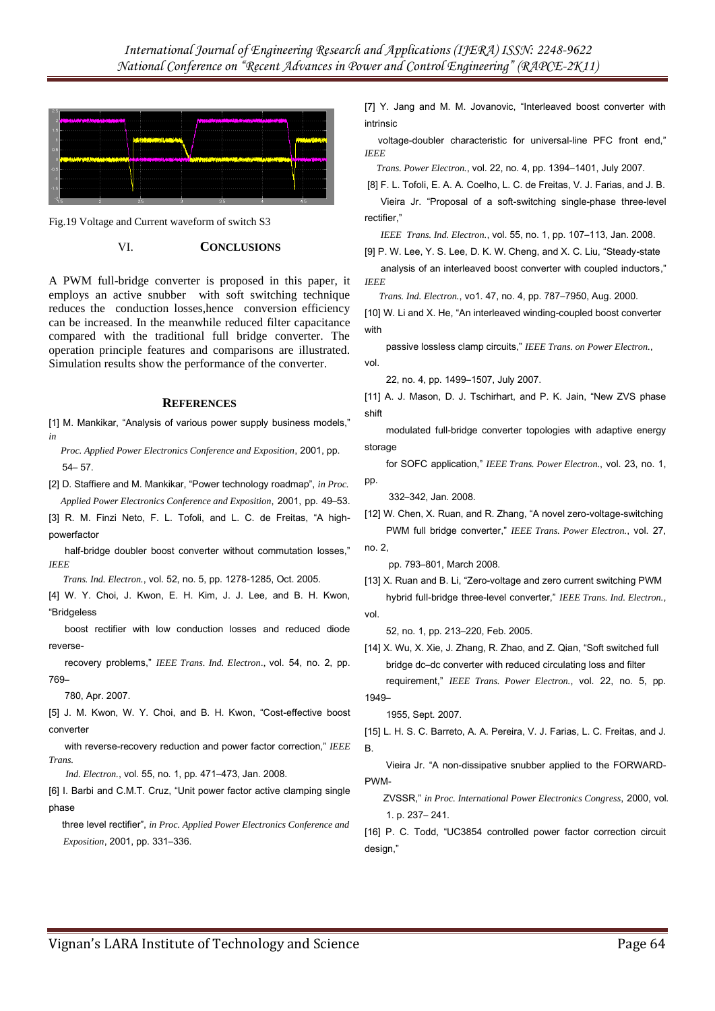

Fig.19 Voltage and Current waveform of switch S3

## VI. **CONCLUSIONS**

A PWM full-bridge converter is proposed in this paper, it employs an active snubber with soft switching technique reduces the conduction losses,hence conversion efficiency can be increased. In the meanwhile reduced filter capacitance compared with the traditional full bridge converter. The operation principle features and comparisons are illustrated. Simulation results show the performance of the converter.

### **REFERENCES**

[1] M. Mankikar, "Analysis of various power supply business models," *in* 

 *Proc. Applied Power Electronics Conference and Exposition*, 2001, pp. 54– 57.

[2] D. Staffiere and M. Mankikar, "Power technology roadmap", *in Proc. Applied Power Electronics Conference and Exposition*, 2001, pp. 49–53.

[3] R. M. Finzi Neto, F. L. Tofoli, and L. C. de Freitas, "A highpowerfactor

half-bridge doubler boost converter without commutation losses,' *IEEE* 

 *Trans. Ind. Electron.*, vol. 52, no. 5, pp. 1278-1285, Oct. 2005.

[4] W. Y. Choi, J. Kwon, E. H. Kim, J. J. Lee, and B. H. Kwon, "Bridgeless

 boost rectifier with low conduction losses and reduced diode reverse-

 recovery problems," *IEEE Trans. Ind. Electron*.*,* vol. 54, no. 2, pp. 769–

780, Apr. 2007.

[5] J. M. Kwon, W. Y. Choi, and B. H. Kwon, "Cost-effective boost converter

 with reverse-recovery reduction and power factor correction," *IEEE Trans.* 

 *Ind. Electron.*, vol. 55, no. 1, pp. 471–473, Jan. 2008.

[6] I. Barbi and C.M.T. Cruz, "Unit power factor active clamping single phase

 three level rectifier", *in Proc. Applied Power Electronics Conference and Exposition*, 2001, pp. 331–336.

[7] Y. Jang and M. M. Jovanovic, "Interleaved boost converter with intrinsic

 voltage-doubler characteristic for universal-line PFC front end," *IEEE* 

 *Trans. Power Electron.*, vol. 22, no. 4, pp. 1394–1401, July 2007.

[8] F. L. Tofoli, E. A. A. Coelho, L. C. de Freitas, V. J. Farias, and J. B. Vieira Jr. "Proposal of a soft-switching single-phase three-level rectifier,"

*IEEE Trans. Ind. Electron.*, vol. 55, no. 1, pp. 107–113, Jan. 2008.

[9] P. W. Lee, Y. S. Lee, D. K. W. Cheng, and X. C. Liu, "Steady-state analysis of an interleaved boost converter with coupled inductors," *IEEE* 

 *Trans. Ind. Electron.*, vo1. 47, no. 4, pp. 787–7950, Aug. 2000.

[10] W. Li and X. He, "An interleaved winding-coupled boost converter with

 passive lossless clamp circuits," *IEEE Trans. on Power Electron.*, vol.

22, no. 4, pp. 1499–1507, July 2007.

[11] A. J. Mason, D. J. Tschirhart, and P. K. Jain, "New ZVS phase shift

 modulated full-bridge converter topologies with adaptive energy storage

 for SOFC application," *IEEE Trans. Power Electron.*, vol. 23, no. 1, pp.

332–342, Jan. 2008.

[12] W. Chen, X. Ruan, and R. Zhang, "A novel zero-voltage-switching PWM full bridge converter," *IEEE Trans. Power Electron.*, vol. 27,

no. 2, pp. 793–801, March 2008.

[13] X. Ruan and B. Li, "Zero-voltage and zero current switching PWM hybrid full-bridge three-level converter," *IEEE Trans. Ind. Electron.*, vol.

52, no. 1, pp. 213–220, Feb. 2005.

[14] X. Wu, X. Xie, J. Zhang, R. Zhao, and Z. Qian, "Soft switched full bridge dc–dc converter with reduced circulating loss and filter requirement," *IEEE Trans. Power Electron.*, vol. 22, no. 5, pp.

1955, Sept. 2007.

1949–

[15] L. H. S. C. Barreto, A. A. Pereira, V. J. Farias, L. C. Freitas, and J. B.

 Vieira Jr. "A non-dissipative snubber applied to the FORWARD-PWM-

 ZVSSR," *in Proc. International Power Electronics Congress*, 2000, vol. 1. p. 237– 241.

[16] P. C. Todd, "UC3854 controlled power factor correction circuit design,"